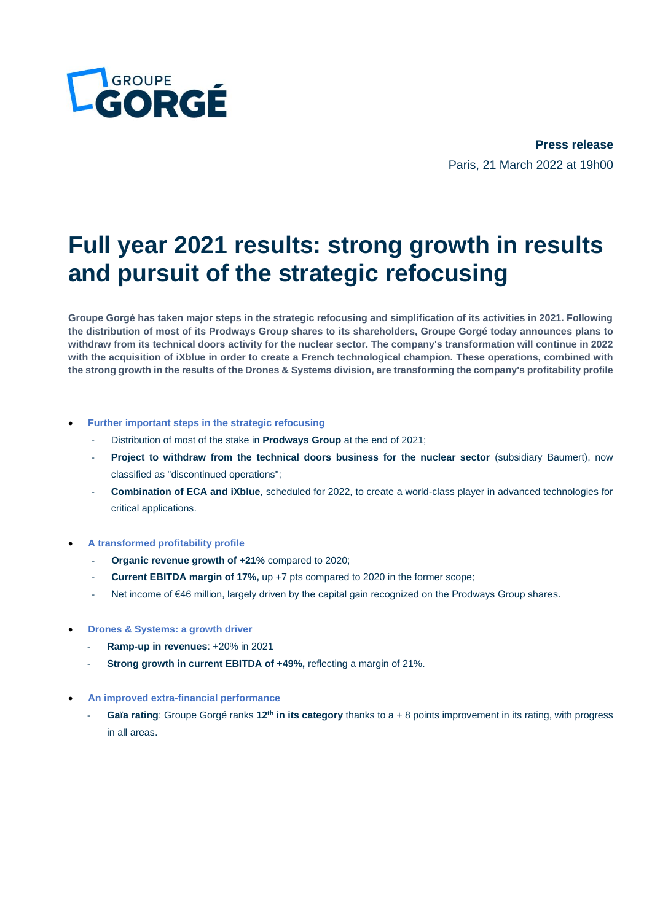

**Press release** Paris, 21 March 2022 at 19h00

# **Full year 2021 results: strong growth in results and pursuit of the strategic refocusing**

**Groupe Gorgé has taken major steps in the strategic refocusing and simplification of its activities in 2021. Following the distribution of most of its Prodways Group shares to its shareholders, Groupe Gorgé today announces plans to withdraw from its technical doors activity for the nuclear sector. The company's transformation will continue in 2022 with the acquisition of iXblue in order to create a French technological champion. These operations, combined with the strong growth in the results of the Drones & Systems division, are transforming the company's profitability profile**

#### • **Further important steps in the strategic refocusing**

- Distribution of most of the stake in **Prodways Group** at the end of 2021;
- Project to withdraw from the technical doors business for the nuclear sector (subsidiary Baumert), now classified as "discontinued operations";
- **Combination of ECA and iXblue**, scheduled for 2022, to create a world-class player in advanced technologies for critical applications.
- **A transformed profitability profile**
	- **Organic revenue growth of +21%** compared to 2020;
	- **Current EBITDA margin of 17%,** up +7 pts compared to 2020 in the former scope;
	- Net income of €46 million, largely driven by the capital gain recognized on the Prodways Group shares.
- **Drones & Systems: a growth driver**
	- **Ramp-up in revenues**: +20% in 2021
	- **Strong growth in current EBITDA of +49%, reflecting a margin of 21%.**
- **An improved extra-financial performance**
	- **Gaïa rating**: Groupe Gorgé ranks **12th in its category** thanks to a + 8 points improvement in its rating, with progress in all areas.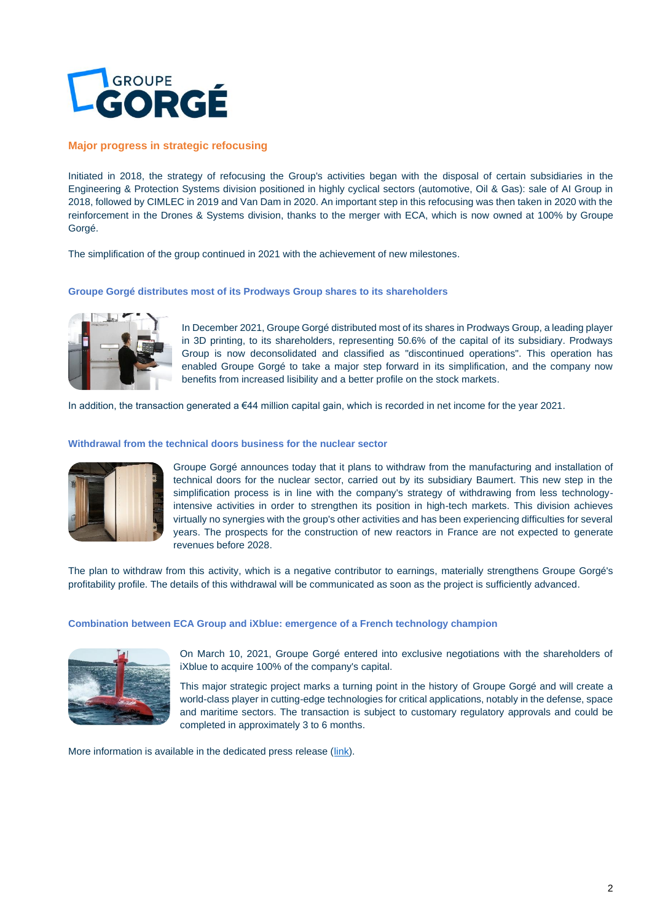

#### **Major progress in strategic refocusing**

Initiated in 2018, the strategy of refocusing the Group's activities began with the disposal of certain subsidiaries in the Engineering & Protection Systems division positioned in highly cyclical sectors (automotive, Oil & Gas): sale of AI Group in 2018, followed by CIMLEC in 2019 and Van Dam in 2020. An important step in this refocusing was then taken in 2020 with the reinforcement in the Drones & Systems division, thanks to the merger with ECA, which is now owned at 100% by Groupe Gorgé.

The simplification of the group continued in 2021 with the achievement of new milestones.

#### **Groupe Gorgé distributes most of its Prodways Group shares to its shareholders**



In December 2021, Groupe Gorgé distributed most of its shares in Prodways Group, a leading player in 3D printing, to its shareholders, representing 50.6% of the capital of its subsidiary. Prodways Group is now deconsolidated and classified as "discontinued operations". This operation has enabled Groupe Gorgé to take a major step forward in its simplification, and the company now benefits from increased lisibility and a better profile on the stock markets.

In addition, the transaction generated a €44 million capital gain, which is recorded in net income for the year 2021.

# **Withdrawal from the technical doors business for the nuclear sector**



Groupe Gorgé announces today that it plans to withdraw from the manufacturing and installation of technical doors for the nuclear sector, carried out by its subsidiary Baumert. This new step in the simplification process is in line with the company's strategy of withdrawing from less technologyintensive activities in order to strengthen its position in high-tech markets. This division achieves virtually no synergies with the group's other activities and has been experiencing difficulties for several years. The prospects for the construction of new reactors in France are not expected to generate revenues before 2028.

The plan to withdraw from this activity, which is a negative contributor to earnings, materially strengthens Groupe Gorgé's profitability profile. The details of this withdrawal will be communicated as soon as the project is sufficiently advanced.

#### **Combination between ECA Group and iXblue: emergence of a French technology champion**



On March 10, 2021, Groupe Gorgé entered into exclusive negotiations with the shareholders of iXblue to acquire 100% of the company's capital.

This major strategic project marks a turning point in the history of Groupe Gorgé and will create a world-class player in cutting-edge technologies for critical applications, notably in the defense, space and maritime sectors. The transaction is subject to customary regulatory approvals and could be completed in approximately 3 to 6 months.

More information is available in the dedicated press release [\(link\)](https://www.groupe-gorge.com/en/wp-content/uploads/sites/3/2022/03/CP_Acquisition-iXblue_14_03_2022_EN.pdf).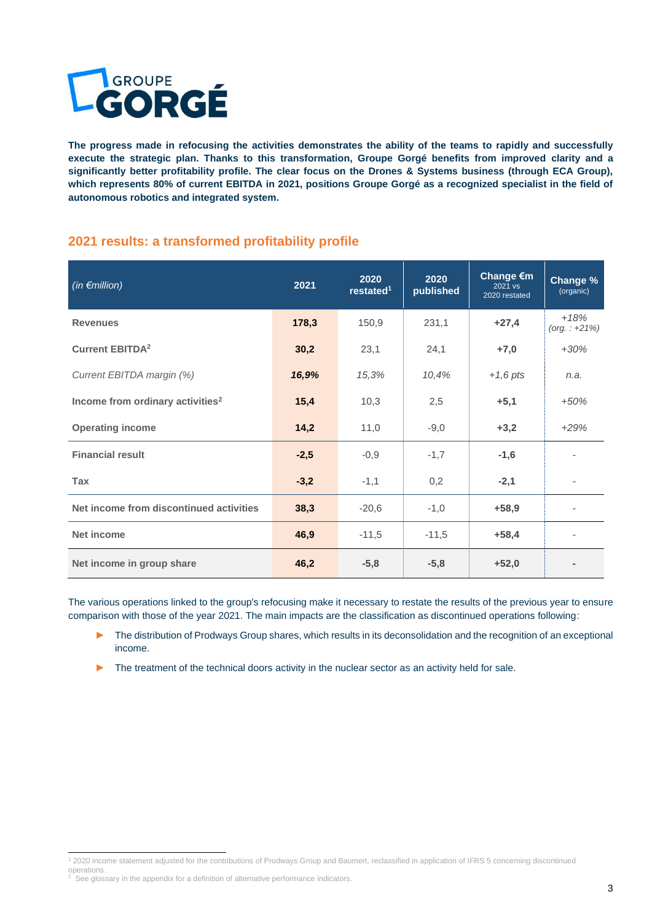

**The progress made in refocusing the activities demonstrates the ability of the teams to rapidly and successfully execute the strategic plan. Thanks to this transformation, Groupe Gorgé benefits from improved clarity and a significantly better profitability profile. The clear focus on the Drones & Systems business (through ECA Group), which represents 80% of current EBITDA in 2021, positions Groupe Gorgé as a recognized specialist in the field of autonomous robotics and integrated system.**

# **2021 results: a transformed profitability profile**

| (in $\epsilon$ million)                      | 2021   | 2020<br>restated <sup>1</sup> | 2020<br>published | Change €m<br>2021 vs<br>2020 restated | Change %<br>(organic)      |
|----------------------------------------------|--------|-------------------------------|-------------------|---------------------------------------|----------------------------|
| <b>Revenues</b>                              | 178,3  | 150,9                         | 231,1             | $+27,4$                               | $+18%$<br>$(org. : +21\%)$ |
| <b>Current EBITDA<sup>2</sup></b>            | 30,2   | 23,1                          | 24,1              | $+7,0$                                | $+30%$                     |
| Current EBITDA margin (%)                    | 16,9%  | 15,3%                         | 10,4%             | $+1,6$ pts                            | n.a.                       |
| Income from ordinary activities <sup>2</sup> | 15,4   | 10,3                          | 2,5               | $+5,1$                                | $+50%$                     |
| <b>Operating income</b>                      | 14,2   | 11,0                          | $-9,0$            | $+3,2$                                | $+29%$                     |
| <b>Financial result</b>                      | $-2,5$ | $-0,9$                        | $-1,7$            | $-1,6$                                |                            |
| <b>Tax</b>                                   | $-3,2$ | $-1,1$                        | 0,2               | $-2,1$                                | $\overline{\phantom{a}}$   |
| Net income from discontinued activities      | 38,3   | $-20,6$                       | $-1,0$            | $+58,9$                               | $\overline{\phantom{a}}$   |
| Net income                                   | 46,9   | $-11,5$                       | $-11,5$           | $+58,4$                               |                            |
| Net income in group share                    | 46,2   | $-5,8$                        | $-5,8$            | $+52,0$                               | $\,$                       |

The various operations linked to the group's refocusing make it necessary to restate the results of the previous year to ensure comparison with those of the year 2021. The main impacts are the classification as discontinued operations following:

The distribution of Prodways Group shares, which results in its deconsolidation and the recognition of an exceptional income.

► The treatment of the technical doors activity in the nuclear sector as an activity held for sale.

<sup>1</sup> 2020 income statement adjusted for the contributions of Prodways Group and Baumert, reclassified in application of IFRS 5 concerning discontinued operations.

See glossary in the appendix for a definition of alternative performance indicators.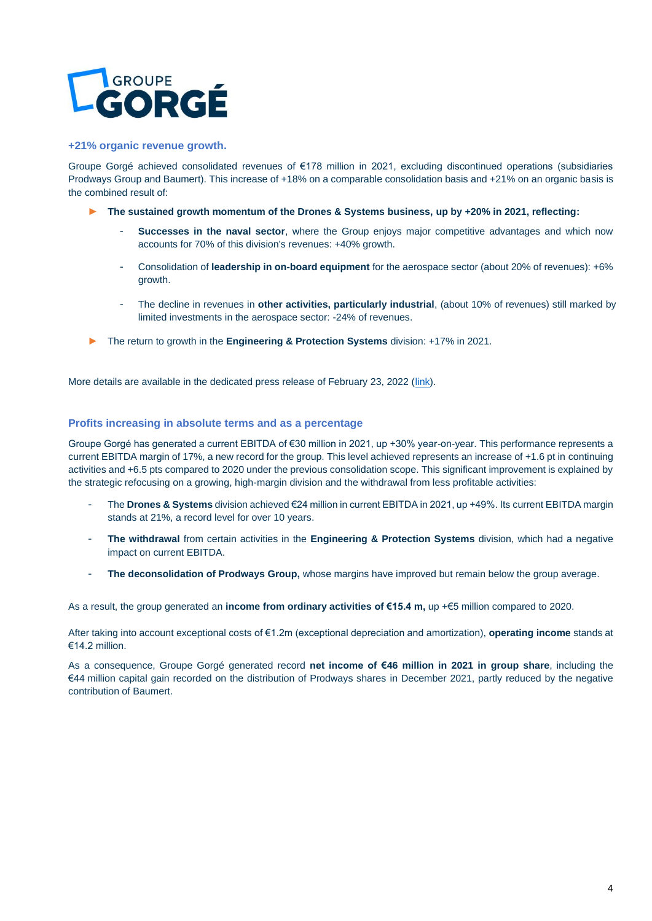

#### **+21% organic revenue growth.**

Groupe Gorgé achieved consolidated revenues of €178 million in 2021, excluding discontinued operations (subsidiaries Prodways Group and Baumert). This increase of +18% on a comparable consolidation basis and +21% on an organic basis is the combined result of:

- ► **The sustained growth momentum of the Drones & Systems business, up by +20% in 2021, reflecting:**
	- **Successes in the naval sector**, where the Group enjoys major competitive advantages and which now accounts for 70% of this division's revenues: +40% growth.
	- Consolidation of **leadership in on-board equipment** for the aerospace sector (about 20% of revenues): +6% growth.
	- The decline in revenues in **other activities, particularly industrial**, (about 10% of revenues) still marked by limited investments in the aerospace sector: -24% of revenues.
- ► The return to growth in the **Engineering & Protection Systems** division: +17% in 2021.

More details are available in the dedicated press release of February 23, 2022 [\(link\)](https://www.groupe-gorge.com/en/wp-content/uploads/sites/3/2022/02/CP_Groupe-Gorge_CA-FY_2021_EN.pdf).

#### **Profits increasing in absolute terms and as a percentage**

Groupe Gorgé has generated a current EBITDA of €30 million in 2021, up +30% year-on-year. This performance represents a current EBITDA margin of 17%, a new record for the group. This level achieved represents an increase of +1.6 pt in continuing activities and +6.5 pts compared to 2020 under the previous consolidation scope. This significant improvement is explained by the strategic refocusing on a growing, high-margin division and the withdrawal from less profitable activities:

- The **Drones & Systems** division achieved €24 million in current EBITDA in 2021, up +49%. Its current EBITDA margin stands at 21%, a record level for over 10 years.
- **The withdrawal** from certain activities in the **Engineering & Protection Systems** division, which had a negative impact on current EBITDA.
- The deconsolidation of Prodways Group, whose margins have improved but remain below the group average.

As a result, the group generated an **income from ordinary activities of €15.4 m,** up +€5 million compared to 2020.

After taking into account exceptional costs of €1.2m (exceptional depreciation and amortization), **operating income** stands at €14.2 million.

As a consequence, Groupe Gorgé generated record **net income of €46 million in 2021 in group share**, including the €44 million capital gain recorded on the distribution of Prodways shares in December 2021, partly reduced by the negative contribution of Baumert.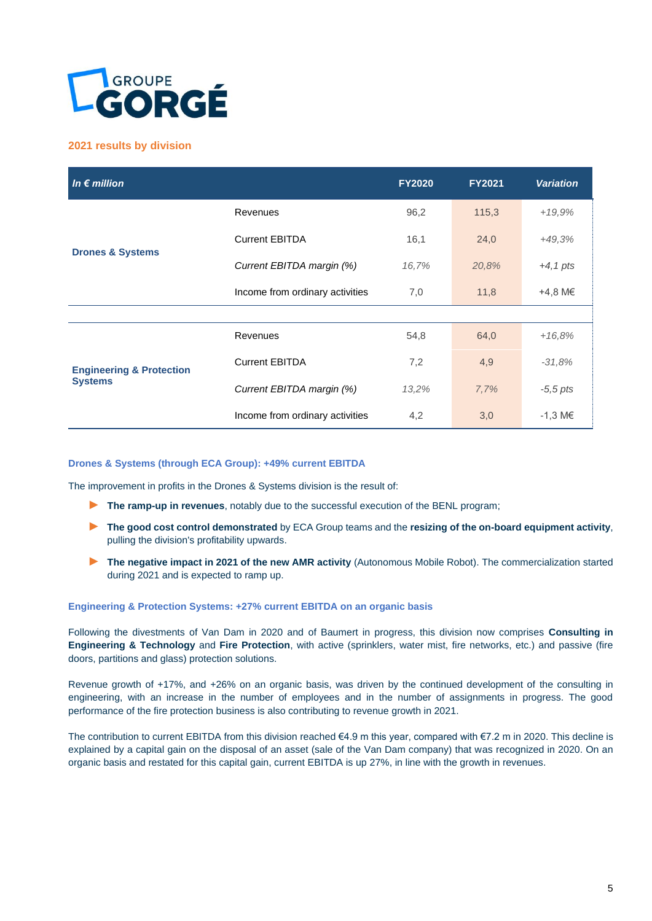

### **2021 results by division**

| In $\epsilon$ million                                 |                                 | <b>FY2020</b> | <b>FY2021</b> | <b>Variation</b>    |
|-------------------------------------------------------|---------------------------------|---------------|---------------|---------------------|
| <b>Drones &amp; Systems</b>                           | Revenues                        | 96,2          | 115,3         | $+19,9%$            |
|                                                       | <b>Current EBITDA</b>           | 16,1          | 24,0          | $+49,3%$            |
|                                                       | Current EBITDA margin (%)       | 16,7%         | 20,8%         | $+4$ , 1 pts        |
|                                                       | Income from ordinary activities | 7,0           | 11,8          | +4,8 M€             |
|                                                       |                                 |               |               |                     |
| <b>Engineering &amp; Protection</b><br><b>Systems</b> | Revenues                        | 54,8          | 64,0          | $+16,8%$            |
|                                                       | <b>Current EBITDA</b>           | 7,2           | 4,9           | $-31,8%$            |
|                                                       | Current EBITDA margin (%)       | 13,2%         | 7,7%          | $-5,5$ pts          |
|                                                       | Income from ordinary activities | 4,2           | 3,0           | $-1,3 \, \text{M}€$ |

#### **Drones & Systems (through ECA Group): +49% current EBITDA**

The improvement in profits in the Drones & Systems division is the result of:

- ► **The ramp-up in revenues**, notably due to the successful execution of the BENL program;
- ► **The good cost control demonstrated** by ECA Group teams and the **resizing of the on-board equipment activity**, pulling the division's profitability upwards.
- ► **The negative impact in 2021 of the new AMR activity** (Autonomous Mobile Robot). The commercialization started during 2021 and is expected to ramp up.

#### **Engineering & Protection Systems: +27% current EBITDA on an organic basis**

Following the divestments of Van Dam in 2020 and of Baumert in progress, this division now comprises **Consulting in Engineering & Technology** and **Fire Protection**, with active (sprinklers, water mist, fire networks, etc.) and passive (fire doors, partitions and glass) protection solutions.

Revenue growth of +17%, and +26% on an organic basis, was driven by the continued development of the consulting in engineering, with an increase in the number of employees and in the number of assignments in progress. The good performance of the fire protection business is also contributing to revenue growth in 2021.

The contribution to current EBITDA from this division reached €4.9 m this year, compared with €7.2 m in 2020. This decline is explained by a capital gain on the disposal of an asset (sale of the Van Dam company) that was recognized in 2020. On an organic basis and restated for this capital gain, current EBITDA is up 27%, in line with the growth in revenues.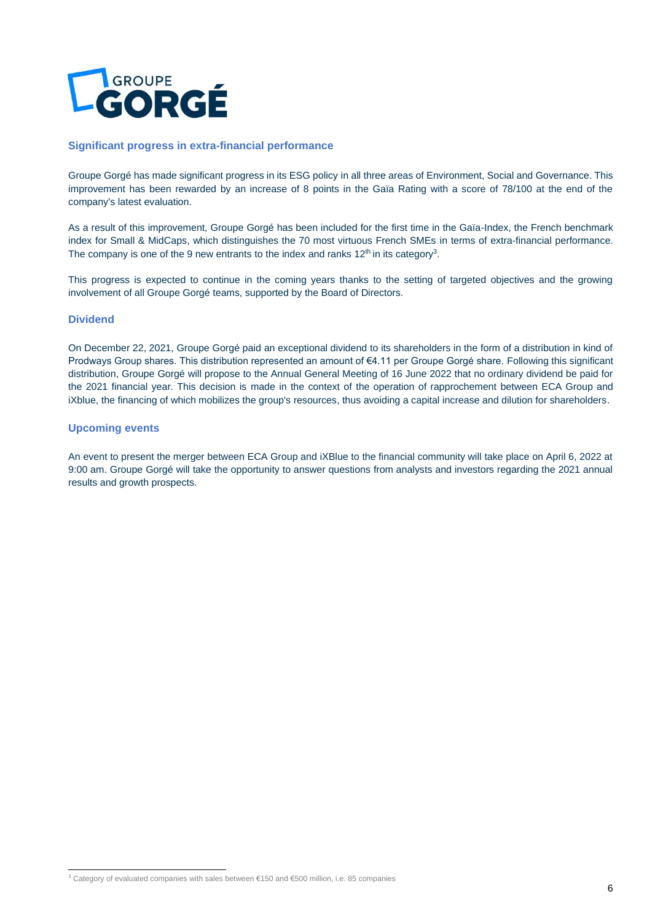

#### **Significant progress in extra-financial performance**

Groupe Gorgé has made significant progress in its ESG policy in all three areas of Environment, Social and Governance. This improvement has been rewarded by an increase of 8 points in the Gaïa Rating with a score of 78/100 at the end of the company's latest evaluation.

As a result of this improvement, Groupe Gorgé has been included for the first time in the Gaïa-Index, the French benchmark index for Small & MidCaps, which distinguishes the 70 most virtuous French SMEs in terms of extra-financial performance. The company is one of the 9 new entrants to the index and ranks 12<sup>th</sup> in its category<sup>3</sup>.

This progress is expected to continue in the coming years thanks to the setting of targeted objectives and the growing involvement of all Groupe Gorgé teams, supported by the Board of Directors.

#### **Dividend**

On December 22, 2021, Groupe Gorgé paid an exceptional dividend to its shareholders in the form of a distribution in kind of Prodways Group shares. This distribution represented an amount of €4.11 per Groupe Gorgé share. Following this significant distribution, Groupe Gorgé will propose to the Annual General Meeting of 16 June 2022 that no ordinary dividend be paid for the 2021 financial year. This decision is made in the context of the operation of rapprochement between ECA Group and iXblue, the financing of which mobilizes the group's resources, thus avoiding a capital increase and dilution for shareholders.

#### **Upcoming events**

An event to present the merger between ECA Group and iXBlue to the financial community will take place on April 6, 2022 at 9:00 am. Groupe Gorgé will take the opportunity to answer questions from analysts and investors regarding the 2021 annual results and growth prospects.

<sup>3</sup> Category of evaluated companies with sales between €150 and €500 million, i.e. 85 companies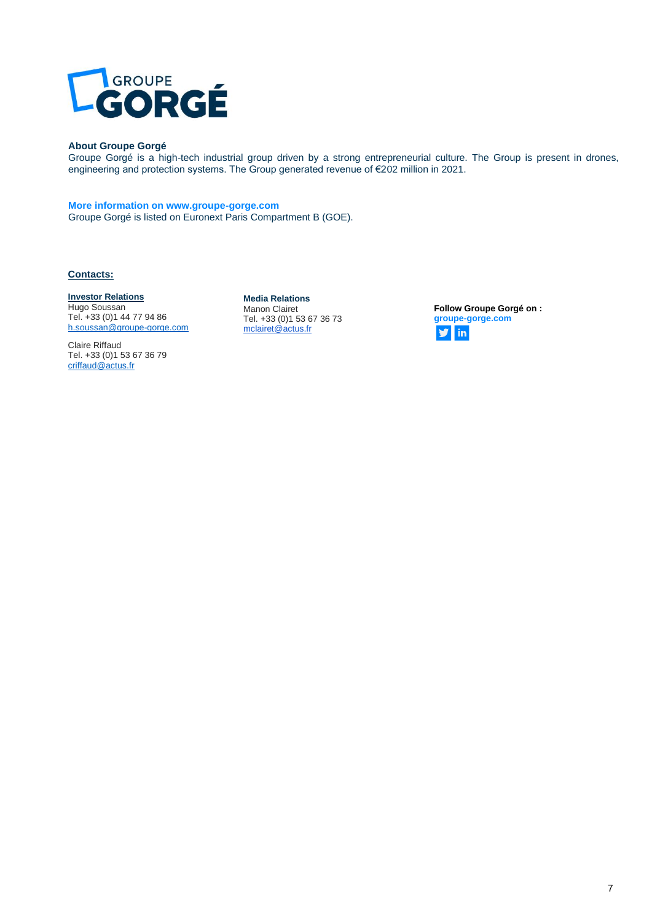

#### **About Groupe Gorgé**

Groupe Gorgé is a high-tech industrial group driven by a strong entrepreneurial culture. The Group is present in drones, engineering and protection systems. The Group generated revenue of €202 million in 2021.

#### **More information on www.groupe-gorge.com**

Groupe Gorgé is listed on Euronext Paris Compartment B (GOE).

#### **Contacts:**

#### **Investor Relations**

Hugo Soussan Tel. +33 (0)1 44 77 94 86 [h.soussan@groupe-gorge.com](mailto:h.soussan@groupe-gorge.com)

Claire Riffaud Tel. +33 (0)1 53 67 36 79 [criffaud@actus.fr](mailto:criffaud@actus.fr)

**Media Relations** Manon Clairet Tel. +33 (0)1 53 67 36 73 [mclairet@actus.fr](mailto:mclairet@actus.fr) 

**Follow Groupe Gorgé on : groupe-gorge.com**  $\mathbf{y}$  in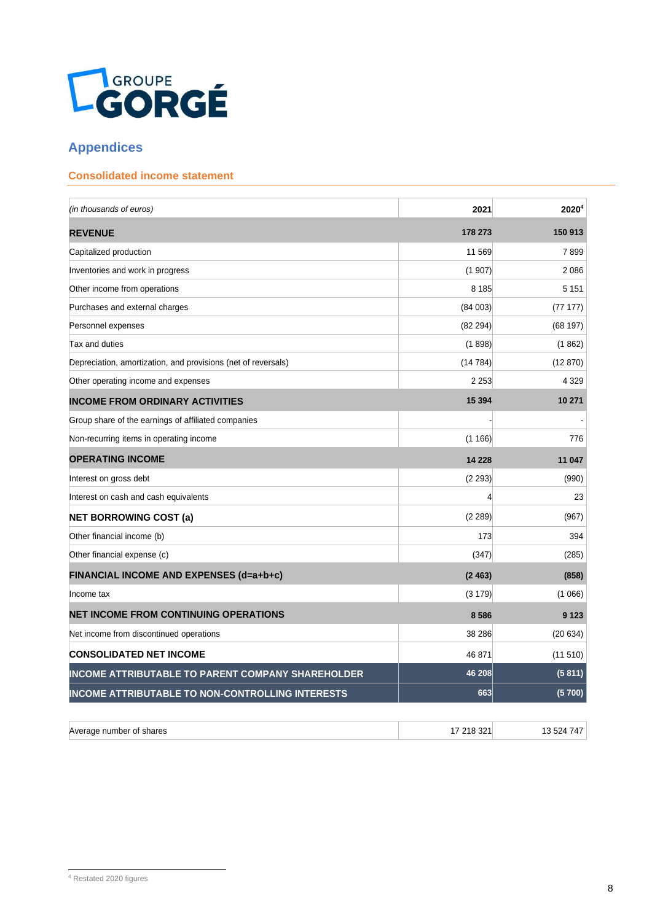

# **Appendices**

# **Consolidated income statement**

| (in thousands of euros)                                       | 2021     | 2020 <sup>4</sup> |
|---------------------------------------------------------------|----------|-------------------|
| <b>REVENUE</b>                                                | 178 273  | 150 913           |
| Capitalized production                                        | 11 569   | 7899              |
| Inventories and work in progress                              | (1907)   | 2 0 8 6           |
| Other income from operations                                  | 8 1 8 5  | 5 1 5 1           |
| Purchases and external charges                                | (84003)  | (7717)            |
| Personnel expenses                                            | (82 294) | (68197)           |
| Tax and duties                                                | (1898)   | (1862)            |
| Depreciation, amortization, and provisions (net of reversals) | (14784)  | (12 870)          |
| Other operating income and expenses                           | 2 2 5 3  | 4 3 2 9           |
| <b>INCOME FROM ORDINARY ACTIVITIES</b>                        | 15 3 94  | 10 271            |
| Group share of the earnings of affiliated companies           |          |                   |
| Non-recurring items in operating income                       | (1166)   | 776               |
| <b>OPERATING INCOME</b>                                       | 14 228   | 11 047            |
| Interest on gross debt                                        | (2 293)  | (990)             |
| Interest on cash and cash equivalents                         | 4        | 23                |
| <b>NET BORROWING COST (a)</b>                                 | (2 289)  | (967)             |
| Other financial income (b)                                    | 173      | 394               |
| Other financial expense (c)                                   | (347)    | (285)             |
| FINANCIAL INCOME AND EXPENSES (d=a+b+c)                       | (2463)   | (858)             |
| Income tax                                                    | (3179)   | (1066)            |
| <b>NET INCOME FROM CONTINUING OPERATIONS</b>                  | 8586     | 9 1 2 3           |
| Net income from discontinued operations                       | 38 286   | (20634)           |
| <b>CONSOLIDATED NET INCOME</b>                                | 46 871   | (11 510)          |
| <b>INCOME ATTRIBUTABLE TO PARENT COMPANY SHAREHOLDER</b>      | 46 208   | (5811)            |
| <b>INCOME ATTRIBUTABLE TO NON-CONTROLLING INTERESTS</b>       | 663      | (5700)            |

| Average number of shares | 7 218 321 | 13 524 747 |
|--------------------------|-----------|------------|
|                          |           |            |

<sup>4</sup> Restated 2020 figures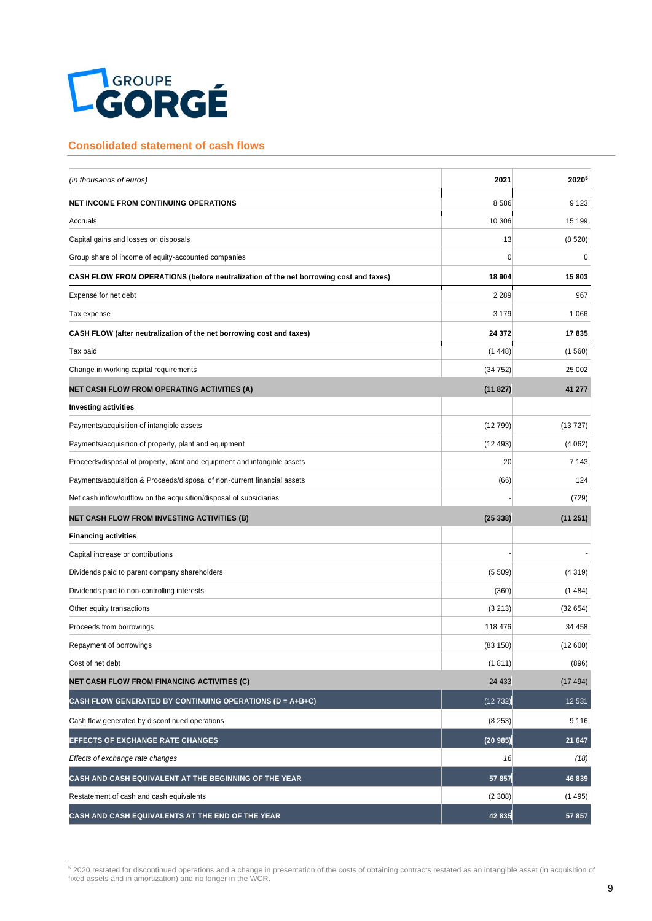

#### **Consolidated statement of cash flows**

| (in thousands of euros)                                                               | 2021           | 20205   |
|---------------------------------------------------------------------------------------|----------------|---------|
| <b>NET INCOME FROM CONTINUING OPERATIONS</b>                                          | 8586           | 9 1 2 3 |
| Accruals                                                                              | 10 306         | 15 199  |
| Capital gains and losses on disposals                                                 | 13             | (8520)  |
| Group share of income of equity-accounted companies                                   | $\overline{0}$ | 0       |
| CASH FLOW FROM OPERATIONS (before neutralization of the net borrowing cost and taxes) | 18 904         | 15803   |
| Expense for net debt                                                                  | 2 2 8 9        | 967     |
| Tax expense                                                                           | 3 1 7 9        | 1 0 6 6 |
| CASH FLOW (after neutralization of the net borrowing cost and taxes)                  | 24 372         | 17835   |
| Tax paid                                                                              | (1448)         | (1560)  |
| Change in working capital requirements                                                | (34752)        | 25 002  |
| <b>NET CASH FLOW FROM OPERATING ACTIVITIES (A)</b>                                    | (11827)        | 41 277  |
| <b>Investing activities</b>                                                           |                |         |
| Payments/acquisition of intangible assets                                             | (12799)        | (13727) |
| Payments/acquisition of property, plant and equipment                                 | (12493)        | (4062)  |
| Proceeds/disposal of property, plant and equipment and intangible assets              | 20             | 7 1 4 3 |
| Payments/acquisition & Proceeds/disposal of non-current financial assets              | (66)           | 124     |
| Net cash inflow/outflow on the acquisition/disposal of subsidiaries                   |                | (729)   |
| <b>NET CASH FLOW FROM INVESTING ACTIVITIES (B)</b>                                    | (25338)        | (11251) |
| <b>Financing activities</b>                                                           |                |         |
| Capital increase or contributions                                                     |                |         |
| Dividends paid to parent company shareholders                                         | (5509)         | (4319)  |
| Dividends paid to non-controlling interests                                           | (360)          | (1484)  |
| Other equity transactions                                                             | (3 213)        | (32654) |
| Proceeds from borrowings                                                              | 118 476        | 34 458  |
| Repayment of borrowings                                                               | (83150)        | (12600) |
| Cost of net debt                                                                      | (1811)         | (896)   |
| <b>NET CASH FLOW FROM FINANCING ACTIVITIES (C)</b>                                    | 24 4 33        | (17494) |
| CASH FLOW GENERATED BY CONTINUING OPERATIONS (D = A+B+C)                              | (12732)        | 12 531  |
| Cash flow generated by discontinued operations                                        | (8253)         | 9 1 1 6 |
| <b>EFFECTS OF EXCHANGE RATE CHANGES</b>                                               | (20985)        | 21 647  |
| Effects of exchange rate changes                                                      | 16             | (18)    |
| CASH AND CASH EQUIVALENT AT THE BEGINNING OF THE YEAR                                 | 57857          | 46 839  |
| Restatement of cash and cash equivalents                                              | (2308)         | (1495)  |
| CASH AND CASH EQUIVALENTS AT THE END OF THE YEAR                                      | 42 835         | 57 857  |

<sup>&</sup>lt;sup>5</sup> 2020 restated for discontinued operations and a change in presentation of the costs of obtaining contracts restated as an intangible asset (in acquisition of fixed assets and in amortization) and no longer in the WCR.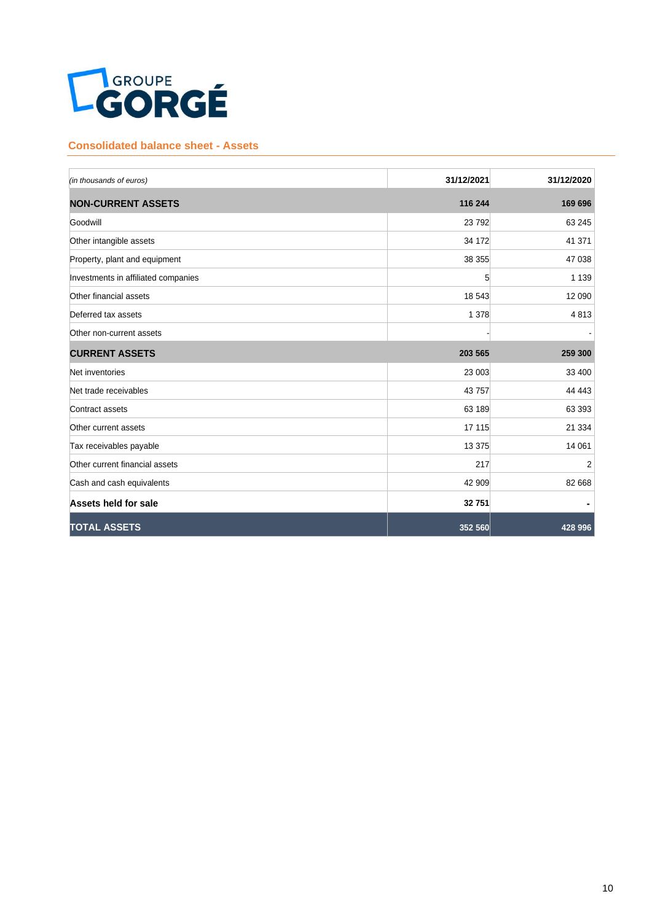

## **Consolidated balance sheet - Assets**

| (in thousands of euros)             | 31/12/2021 | 31/12/2020 |
|-------------------------------------|------------|------------|
| <b>NON-CURRENT ASSETS</b>           | 116 244    | 169 696    |
| Goodwill                            | 23 7 9 2   | 63 245     |
| Other intangible assets             | 34 172     | 41 371     |
| Property, plant and equipment       | 38 355     | 47 038     |
| Investments in affiliated companies | 5          | 1 1 3 9    |
| Other financial assets              | 18 543     | 12 090     |
| Deferred tax assets                 | 1 3 7 8    | 4813       |
| Other non-current assets            |            |            |
| <b>CURRENT ASSETS</b>               | 203 565    | 259 300    |
| Net inventories                     | 23 003     | 33 400     |
| Net trade receivables               | 43757      | 44 443     |
| Contract assets                     | 63 189     | 63 393     |
| Other current assets                | 17 115     | 21 3 34    |
| Tax receivables payable             | 13 3 7 5   | 14 061     |
| Other current financial assets      | 217        | 2          |
| Cash and cash equivalents           | 42 909     | 82 668     |
| Assets held for sale                | 32 751     |            |
| <b>TOTAL ASSETS</b>                 | 352 560    | 428 996    |